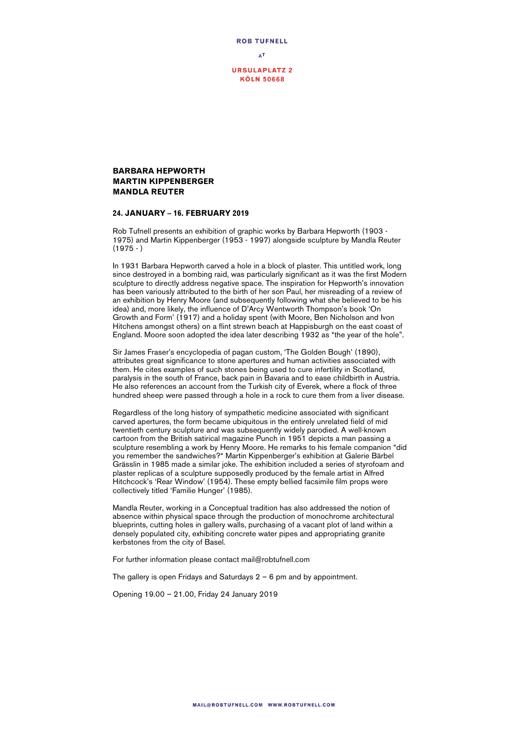

## **BARBARA HEPWORTH MARTIN KIPPENBERGER MANDLA REUTER**

## **24. JANUARY – 16. FEBRUARY 2019**

Rob Tufnell presents an exhibition of graphic works by Barbara Hepworth (1903 - 1975) and Martin Kippenberger (1953 - 1997) alongside sculpture by Mandla Reuter  $(1975 - )$ 

In 1931 Barbara Hepworth carved a hole in a block of plaster. This untitled work, long since destroyed in a bombing raid, was particularly significant as it was the first Modern sculpture to directly address negative space. The inspiration for Hepworth's innovation has been variously attributed to the birth of her son Paul, her misreading of a review of an exhibition by Henry Moore (and subsequently following what she believed to be his idea) and, more likely, the influence of D'Arcy Wentworth Thompson's book 'On Growth and Form' (1917) and a holiday spent (with Moore, Ben Nicholson and Ivon Hitchens amongst others) on a flint strewn beach at Happisburgh on the east coast of England. Moore soon adopted the idea later describing 1932 as "the year of the hole".

Sir James Fraser's encyclopedia of pagan custom, 'The Golden Bough' (1890), attributes great significance to stone apertures and human activities associated with them. He cites examples of such stones being used to cure infertility in Scotland, paralysis in the south of France, back pain in Bavaria and to ease childbirth in Austria. He also references an account from the Turkish city of Everek, where a flock of three hundred sheep were passed through a hole in a rock to cure them from a liver disease.

Regardless of the long history of sympathetic medicine associated with significant carved apertures, the form became ubiquitous in the entirely unrelated field of mid twentieth century sculpture and was subsequently widely parodied. A well-known cartoon from the British satirical magazine Punch in 1951 depicts a man passing a sculpture resembling a work by Henry Moore. He remarks to his female companion "did you remember the sandwiches?" Martin Kippenberger's exhibition at Galerie Bärbel Grässlin in 1985 made a similar joke. The exhibition included a series of styrofoam and plaster replicas of a sculpture supposedly produced by the female artist in Alfred Hitchcock's 'Rear Window' (1954). These empty bellied facsimile film props were collectively titled 'Familie Hunger' (1985).

Mandla Reuter, working in a Conceptual tradition has also addressed the notion of absence within physical space through the production of monochrome architectural blueprints, cutting holes in gallery walls, purchasing of a vacant plot of land within a densely populated city, exhibiting concrete water pipes and appropriating granite kerbstones from the city of Basel.

For further information please contact mail@robtufnell.com

The gallery is open Fridays and Saturdays  $2 - 6$  pm and by appointment.

Opening 19.00 – 21.00, Friday 24 January 2019